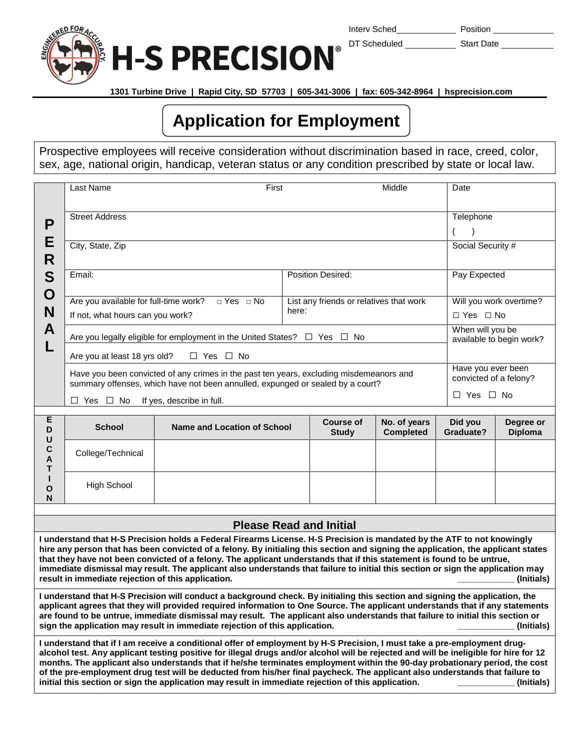

Interv Sched Position

DT Scheduled Start Date

 **1301 Turbine Drive | Rapid City, SD 57703 | 605-341-3006 | fax: 605-342-8964 | hsprecision.com**

## **Application for Employment**

Prospective employees will receive consideration without discrimination based in race, creed, color, sex, age, national origin, handicap, veteran status or any condition prescribed by state or local law.

|                                                                                                                                                                                                                                                                                                                                                                                                                                                                                                                                                                                               | Last Name                                                                                                                                                                 | First                              |                                                  |                                  | Middle                           | Date                                         |                                                 |  |
|-----------------------------------------------------------------------------------------------------------------------------------------------------------------------------------------------------------------------------------------------------------------------------------------------------------------------------------------------------------------------------------------------------------------------------------------------------------------------------------------------------------------------------------------------------------------------------------------------|---------------------------------------------------------------------------------------------------------------------------------------------------------------------------|------------------------------------|--------------------------------------------------|----------------------------------|----------------------------------|----------------------------------------------|-------------------------------------------------|--|
| P<br>E                                                                                                                                                                                                                                                                                                                                                                                                                                                                                                                                                                                        | <b>Street Address</b>                                                                                                                                                     |                                    |                                                  |                                  | Telephone                        |                                              |                                                 |  |
|                                                                                                                                                                                                                                                                                                                                                                                                                                                                                                                                                                                               | City, State, Zip                                                                                                                                                          |                                    |                                                  |                                  |                                  | (<br>Social Security #                       |                                                 |  |
| R<br>S                                                                                                                                                                                                                                                                                                                                                                                                                                                                                                                                                                                        | Email:                                                                                                                                                                    |                                    |                                                  | Position Desired:                |                                  | Pay Expected                                 |                                                 |  |
| O<br>N<br>A<br>L                                                                                                                                                                                                                                                                                                                                                                                                                                                                                                                                                                              | Are you available for full-time work?<br>$\Box$ Yes $\Box$ No<br>If not, what hours can you work?                                                                         |                                    | List any friends or relatives that work<br>here: |                                  |                                  |                                              | Will you work overtime?<br>$\Box$ Yes $\Box$ No |  |
|                                                                                                                                                                                                                                                                                                                                                                                                                                                                                                                                                                                               | Are you legally eligible for employment in the United States? $\Box$ Yes $\Box$ No                                                                                        |                                    |                                                  |                                  |                                  |                                              | When will you be<br>available to begin work?    |  |
|                                                                                                                                                                                                                                                                                                                                                                                                                                                                                                                                                                                               | $\Box$ Yes $\Box$ No<br>Are you at least 18 yrs old?                                                                                                                      |                                    |                                                  |                                  |                                  |                                              |                                                 |  |
|                                                                                                                                                                                                                                                                                                                                                                                                                                                                                                                                                                                               | Have you been convicted of any crimes in the past ten years, excluding misdemeanors and<br>summary offenses, which have not been annulled, expunged or sealed by a court? |                                    |                                                  |                                  |                                  | Have you ever been<br>convicted of a felony? |                                                 |  |
|                                                                                                                                                                                                                                                                                                                                                                                                                                                                                                                                                                                               | $\Box$ Yes $\Box$ No                                                                                                                                                      | If yes, describe in full.          |                                                  |                                  |                                  |                                              | $\Box$ Yes $\Box$ No                            |  |
| Е<br>D                                                                                                                                                                                                                                                                                                                                                                                                                                                                                                                                                                                        | <b>School</b>                                                                                                                                                             | <b>Name and Location of School</b> |                                                  | <b>Course of</b><br><b>Study</b> | No. of years<br><b>Completed</b> | Did you<br>Graduate?                         | Degree or<br><b>Diploma</b>                     |  |
| $\cup$<br>$\mathbf c$<br>A<br>T                                                                                                                                                                                                                                                                                                                                                                                                                                                                                                                                                               | College/Technical                                                                                                                                                         |                                    |                                                  |                                  |                                  |                                              |                                                 |  |
| L<br>$\mathbf{o}$<br>N                                                                                                                                                                                                                                                                                                                                                                                                                                                                                                                                                                        | <b>High School</b>                                                                                                                                                        |                                    |                                                  |                                  |                                  |                                              |                                                 |  |
|                                                                                                                                                                                                                                                                                                                                                                                                                                                                                                                                                                                               |                                                                                                                                                                           |                                    |                                                  |                                  |                                  |                                              |                                                 |  |
|                                                                                                                                                                                                                                                                                                                                                                                                                                                                                                                                                                                               |                                                                                                                                                                           | <b>Please Read and Initial</b>     |                                                  |                                  |                                  |                                              |                                                 |  |
| I understand that H-S Precision holds a Federal Firearms License. H-S Precision is mandated by the ATF to not knowingly<br>hire any person that has been convicted of a felony. By initialing this section and signing the application, the applicant states<br>that they have not been convicted of a felony. The applicant understands that if this statement is found to be untrue,<br>immediate dismissal may result. The applicant also understands that failure to initial this section or sign the application may<br>result in immediate rejection of this application.<br>(Initials) |                                                                                                                                                                           |                                    |                                                  |                                  |                                  |                                              |                                                 |  |
| I understand that H-S Precision will conduct a background check. By initialing this section and signing the application, the<br>applicant agrees that they will provided required information to One Source. The applicant understands that if any statements<br>are found to be untrue, immediate dismissal may result. The applicant also understands that failure to initial this section or<br>sign the application may result in immediate rejection of this application.<br>(Initials)                                                                                                  |                                                                                                                                                                           |                                    |                                                  |                                  |                                  |                                              |                                                 |  |

**I understand that if I am receive a conditional offer of employment by H-S Precision, I must take a pre-employment drugalcohol test. Any applicant testing positive for illegal drugs and/or alcohol will be rejected and will be ineligible for hire for 12 months. The applicant also understands that if he/she terminates employment within the 90-day probationary period, the cost of the pre-employment drug test will be deducted from his/her final paycheck. The applicant also understands that failure to initial this section or sign the application may result in immediate rejection of this application. \_\_\_\_\_\_\_\_\_\_\_\_ (Initials)**